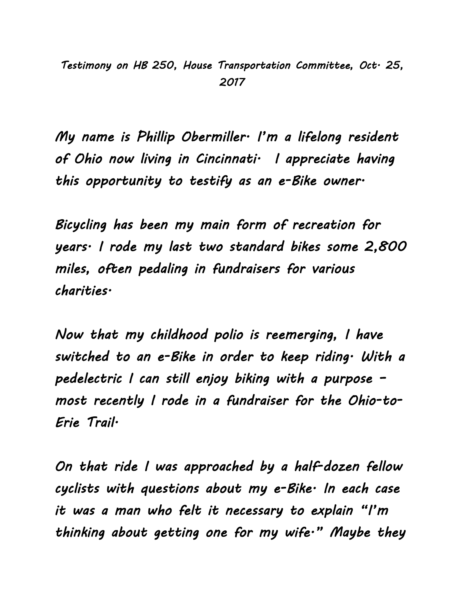*Testimony on HB 250, House Transportation Committee, Oct. 25, 2017* 

*My name is Phillip Obermiller. I'm a lifelong resident of Ohio now living in Cincinnati. I appreciate having this opportunity to testify as an e-Bike owner.* 

*Bicycling has been my main form of recreation for years. I rode my last two standard bikes some 2,800 miles, often pedaling in fundraisers for various charities.* 

*Now that my childhood polio is reemerging, I have switched to an e-Bike in order to keep riding. With a pedelectric I can still enjoy biking with a purpose – most recently I rode in a fundraiser for the Ohio-to-Erie Trail.* 

*On that ride I was approached by a half-dozen fellow cyclists with questions about my e-Bike. In each case it was a man who felt it necessary to explain "I'm thinking about getting one for my wife." Maybe they*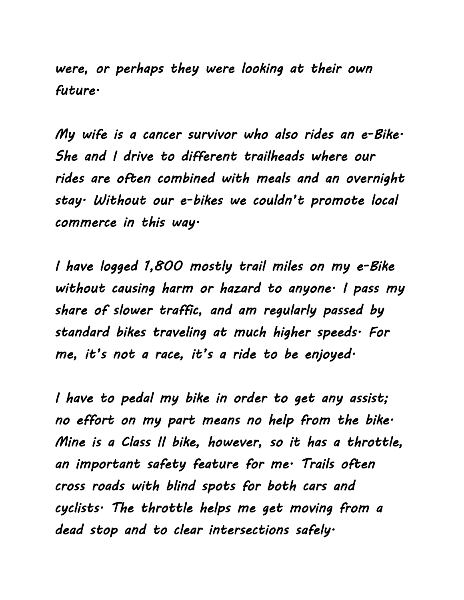*were, or perhaps they were looking at their own future.* 

*My wife is a cancer survivor who also rides an e-Bike. She and I drive to different trailheads where our rides are often combined with meals and an overnight stay. Without our e-bikes we couldn't promote local commerce in this way.* 

*I have logged 1,800 mostly trail miles on my e-Bike without causing harm or hazard to anyone. I pass my share of slower traffic, and am regularly passed by standard bikes traveling at much higher speeds. For me, it's not a race, it's a ride to be enjoyed.* 

*I have to pedal my bike in order to get any assist; no effort on my part means no help from the bike. Mine is a Class II bike, however, so it has a throttle, an important safety feature for me. Trails often cross roads with blind spots for both cars and cyclists. The throttle helps me get moving from a dead stop and to clear intersections safely.*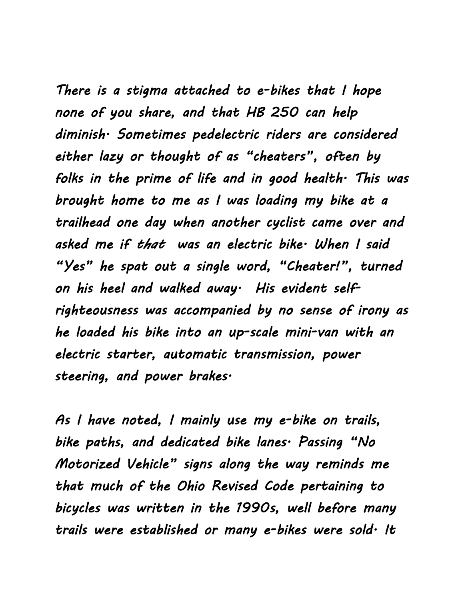*There is a stigma attached to e-bikes that I hope none of you share, and that HB 250 can help diminish. Sometimes pedelectric riders are considered either lazy or thought of as "cheaters", often by folks in the prime of life and in good health. This was brought home to me as I was loading my bike at a trailhead one day when another cyclist came over and asked me if that was an electric bike. When I said "Yes" he spat out a single word, "Cheater!", turned on his heel and walked away. His evident selfrighteousness was accompanied by no sense of irony as he loaded his bike into an up-scale mini-van with an electric starter, automatic transmission, power steering, and power brakes.* 

*As I have noted, I mainly use my e-bike on trails, bike paths, and dedicated bike lanes. Passing "No Motorized Vehicle" signs along the way reminds me that much of the Ohio Revised Code pertaining to bicycles was written in the 1990s, well before many trails were established or many e-bikes were sold. It*